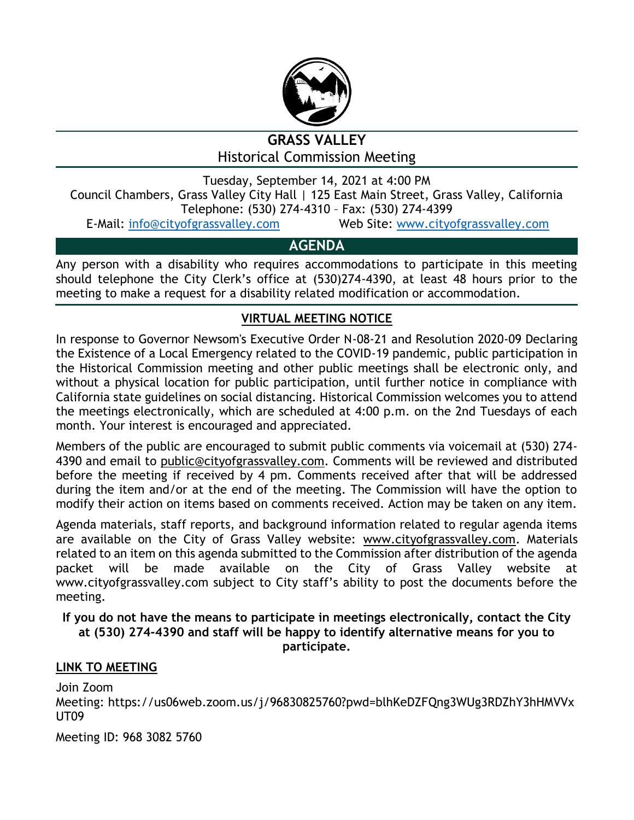

# **GRASS VALLEY** Historical Commission Meeting

Tuesday, September 14, 2021 at 4:00 PM Council Chambers, Grass Valley City Hall | 125 East Main Street, Grass Valley, California Telephone: (530) 274-4310 – Fax: (530) 274-4399

E-Mail: [info@cityofgrassvalley.com](mailto:info@cityofgrassvalley.com) Web Site: [www.cityofgrassvalley.com](http://www.cityofgrassvalley.com/)

## **AGENDA**

Any person with a disability who requires accommodations to participate in this meeting should telephone the City Clerk's office at (530)274-4390, at least 48 hours prior to the meeting to make a request for a disability related modification or accommodation.

### **VIRTUAL MEETING NOTICE**

In response to Governor Newsom's Executive Order N-08-21 and Resolution 2020-09 Declaring the Existence of a Local Emergency related to the COVID-19 pandemic, public participation in the Historical Commission meeting and other public meetings shall be electronic only, and without a physical location for public participation, until further notice in compliance with California state guidelines on social distancing. Historical Commission welcomes you to attend the meetings electronically, which are scheduled at 4:00 p.m. on the 2nd Tuesdays of each month. Your interest is encouraged and appreciated.

Members of the public are encouraged to submit public comments via voicemail at (530) 274- 4390 and email to public@cityofgrassvalley.com. Comments will be reviewed and distributed before the meeting if received by 4 pm. Comments received after that will be addressed during the item and/or at the end of the meeting. The Commission will have the option to modify their action on items based on comments received. Action may be taken on any item.

Agenda materials, staff reports, and background information related to regular agenda items are available on the City of Grass Valley website: www.cityofgrassvalley.com. Materials related to an item on this agenda submitted to the Commission after distribution of the agenda packet will be made available on the City of Grass Valley website at www.cityofgrassvalley.com subject to City staff's ability to post the documents before the meeting.

#### **If you do not have the means to participate in meetings electronically, contact the City at (530) 274-4390 and staff will be happy to identify alternative means for you to participate.**

#### **LINK TO MEETING**

Join Zoom Meeting: https://us06web.zoom.us/j/96830825760?pwd=blhKeDZFQng3WUg3RDZhY3hHMVVx UT09

Meeting ID: 968 3082 5760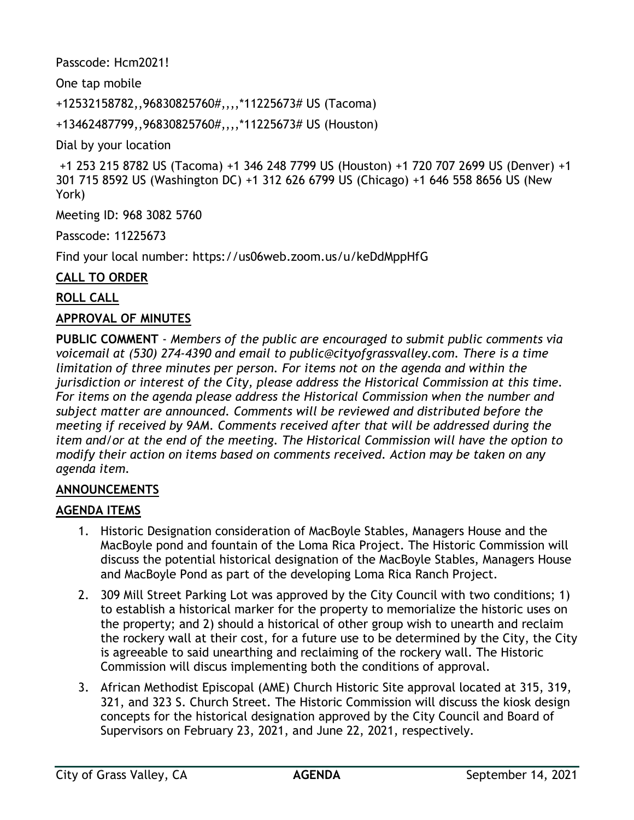Passcode: Hcm2021!

One tap mobile

+12532158782,,96830825760#,,,,\*11225673# US (Tacoma)

+13462487799,,96830825760#,,,,\*11225673# US (Houston)

Dial by your location

```
+1 253 215 8782 US (Tacoma) +1 346 248 7799 US (Houston) +1 720 707 2699 US (Denver) +1 
301 715 8592 US (Washington DC) +1 312 626 6799 US (Chicago) +1 646 558 8656 US (New 
York)
```
Meeting ID: 968 3082 5760

Passcode: 11225673

Find your local number: https://us06web.zoom.us/u/keDdMppHfG

#### **CALL TO ORDER**

#### **ROLL CALL**

#### **APPROVAL OF MINUTES**

**PUBLIC COMMENT** - *Members of the public are encouraged to submit public comments via voicemail at (530) 274-4390 and email to public@cityofgrassvalley.com. There is a time limitation of three minutes per person. For items not on the agenda and within the jurisdiction or interest of the City, please address the Historical Commission at this time. For items on the agenda please address the Historical Commission when the number and subject matter are announced. Comments will be reviewed and distributed before the meeting if received by 9AM. Comments received after that will be addressed during the item and/or at the end of the meeting. The Historical Commission will have the option to modify their action on items based on comments received. Action may be taken on any agenda item.*

#### **ANNOUNCEMENTS**

#### **AGENDA ITEMS**

- 1. Historic Designation consideration of MacBoyle Stables, Managers House and the MacBoyle pond and fountain of the Loma Rica Project. The Historic Commission will discuss the potential historical designation of the MacBoyle Stables, Managers House and MacBoyle Pond as part of the developing Loma Rica Ranch Project.
- 2. 309 Mill Street Parking Lot was approved by the City Council with two conditions; 1) to establish a historical marker for the property to memorialize the historic uses on the property; and 2) should a historical of other group wish to unearth and reclaim the rockery wall at their cost, for a future use to be determined by the City, the City is agreeable to said unearthing and reclaiming of the rockery wall. The Historic Commission will discus implementing both the conditions of approval.
- 3. African Methodist Episcopal (AME) Church Historic Site approval located at 315, 319, 321, and 323 S. Church Street. The Historic Commission will discuss the kiosk design concepts for the historical designation approved by the City Council and Board of Supervisors on February 23, 2021, and June 22, 2021, respectively.